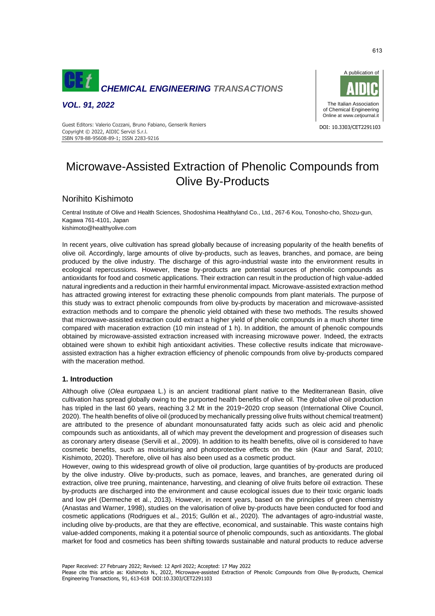

*VOL. 91, 2022*



Guest Editors: Valerio Cozzani, Bruno Fabiano, Genserik Reniers<br>Charles Constantino Correspondent and the constant of the constant of the constant of the constant of the const Copyright © 2022, AIDIC Servizi S.r.l. ISBN 978-88-95608-89-1; ISSN 2283-9216

# Microwave-Assisted Extraction of Phenolic Compounds from Olive By-Products

# Norihito Kishimoto

Central Institute of Olive and Health Sciences, Shodoshima Healthyland Co., Ltd., 267-6 Kou, Tonosho-cho, Shozu-gun, Kagawa 761-4101, Japan kishimoto@healthyolive.com

In recent years, olive cultivation has spread globally because of increasing popularity of the health benefits of olive oil. Accordingly, large amounts of olive by-products, such as leaves, branches, and pomace, are being produced by the olive industry. The discharge of this agro-industrial waste into the environment results in ecological repercussions. However, these by-products are potential sources of phenolic compounds as antioxidants for food and cosmetic applications. Their extraction can result in the production of high value-added natural ingredients and a reduction in their harmful environmental impact. Microwave-assisted extraction method has attracted growing interest for extracting these phenolic compounds from plant materials. The purpose of this study was to extract phenolic compounds from olive by-products by maceration and microwave-assisted extraction methods and to compare the phenolic yield obtained with these two methods. The results showed that microwave-assisted extraction could extract a higher yield of phenolic compounds in a much shorter time compared with maceration extraction (10 min instead of 1 h). In addition, the amount of phenolic compounds obtained by microwave-assisted extraction increased with increasing microwave power. Indeed, the extracts obtained were shown to exhibit high antioxidant activities. These collective results indicate that microwaveassisted extraction has a higher extraction efficiency of phenolic compounds from olive by-products compared with the maceration method.

# **1. Introduction**

Although olive (*Olea europaea* L.) is an ancient traditional plant native to the Mediterranean Basin, olive cultivation has spread globally owing to the purported health benefits of olive oil. The global olive oil production has tripled in the last 60 years, reaching 3.2 Mt in the 2019−2020 crop season (International Olive Council, 2020). The health benefits of olive oil (produced by mechanically pressing olive fruits without chemical treatment) are attributed to the presence of abundant monounsaturated fatty acids such as oleic acid and phenolic compounds such as antioxidants, all of which may prevent the development and progression of diseases such as coronary artery disease (Servili et al., 2009). In addition to its health benefits, olive oil is considered to have cosmetic benefits, such as moisturising and photoprotective effects on the skin (Kaur and Saraf, 2010; Kishimoto, 2020). Therefore, olive oil has also been used as a cosmetic product.

However, owing to this widespread growth of olive oil production, large quantities of by-products are produced by the olive industry. Olive by-products, such as pomace, leaves, and branches, are generated during oil extraction, olive tree pruning, maintenance, harvesting, and cleaning of olive fruits before oil extraction. These by-products are discharged into the environment and cause ecological issues due to their toxic organic loads and low pH (Dermeche et al., 2013). However, in recent years, based on the principles of green chemistry (Anastas and Warner, 1998), studies on the valorisation of olive by-products have been conducted for food and cosmetic applications (Rodrigues et al., 2015; Gullón et al., 2020). The advantages of agro-industrial waste, including olive by-products, are that they are effective, economical, and sustainable. This waste contains high value-added components, making it a potential source of phenolic compounds, such as antioxidants. The global market for food and cosmetics has been shifting towards sustainable and natural products to reduce adverse

Please cite this article as: Kishimoto N., 2022, Microwave-assisted Extraction of Phenolic Compounds from Olive By-products, Chemical Engineering Transactions, 91, 613-618 DOI:10.3303/CET2291103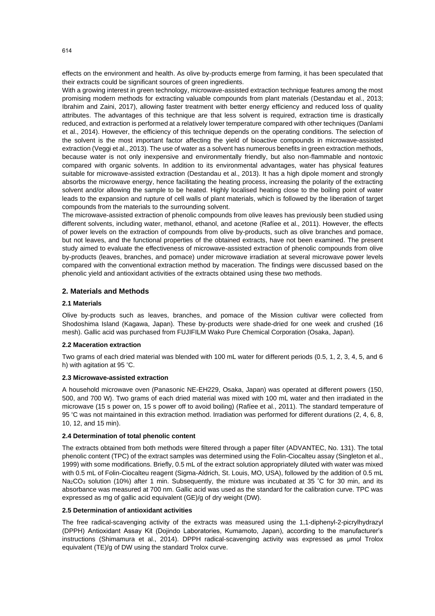effects on the environment and health. As olive by-products emerge from farming, it has been speculated that their extracts could be significant sources of green ingredients.

With a growing interest in green technology, microwave-assisted extraction technique features among the most promising modern methods for extracting valuable compounds from plant materials (Destandau et al., 2013; Ibrahim and Zaini, 2017), allowing faster treatment with better energy efficiency and reduced loss of quality attributes. The advantages of this technique are that less solvent is required, extraction time is drastically reduced, and extraction is performed at a relatively lower temperature compared with other techniques (Danlami et al., 2014). However, the efficiency of this technique depends on the operating conditions. The selection of the solvent is the most important factor affecting the yield of bioactive compounds in microwave-assisted extraction (Veggi et al., 2013). The use of water as a solvent has numerous benefits in green extraction methods, because water is not only inexpensive and environmentally friendly, but also non-flammable and nontoxic compared with organic solvents. In addition to its environmental advantages, water has physical features suitable for microwave-assisted extraction (Destandau et al., 2013). It has a high dipole moment and strongly absorbs the microwave energy, hence facilitating the heating process, increasing the polarity of the extracting solvent and/or allowing the sample to be heated. Highly localised heating close to the boiling point of water leads to the expansion and rupture of cell walls of plant materials, which is followed by the liberation of target compounds from the materials to the surrounding solvent.

The microwave-assisted extraction of phenolic compounds from olive leaves has previously been studied using different solvents, including water, methanol, ethanol, and acetone (Rafíee et al., 2011). However, the effects of power levels on the extraction of compounds from olive by-products, such as olive branches and pomace, but not leaves, and the functional properties of the obtained extracts, have not been examined. The present study aimed to evaluate the effectiveness of microwave-assisted extraction of phenolic compounds from olive by-products (leaves, branches, and pomace) under microwave irradiation at several microwave power levels compared with the conventional extraction method by maceration. The findings were discussed based on the phenolic yield and antioxidant activities of the extracts obtained using these two methods.

## **2. Materials and Methods**

#### **2.1 Materials**

Olive by-products such as leaves, branches, and pomace of the Mission cultivar were collected from Shodoshima Island (Kagawa, Japan). These by-products were shade-dried for one week and crushed (16 mesh). Gallic acid was purchased from FUJIFILM Wako Pure Chemical Corporation (Osaka, Japan).

#### **2.2 Maceration extraction**

Two grams of each dried material was blended with 100 mL water for different periods (0.5, 1, 2, 3, 4, 5, and 6 h) with agitation at 95 °C.

#### **2.3 Microwave-assisted extraction**

A household microwave oven (Panasonic NE-EH229, Osaka, Japan) was operated at different powers (150, 500, and 700 W). Two grams of each dried material was mixed with 100 mL water and then irradiated in the microwave (15 s power on, 15 s power off to avoid boiling) (Rafíee et al., 2011). The standard temperature of 95 °C was not maintained in this extraction method. Irradiation was performed for different durations (2, 4, 6, 8, 10, 12, and 15 min).

#### **2.4 Determination of total phenolic content**

The extracts obtained from both methods were filtered through a paper filter (ADVANTEC, No. 131). The total phenolic content (TPC) of the extract samples was determined using the Folin-Ciocalteu assay (Singleton et al., 1999) with some modifications. Briefly, 0.5 mL of the extract solution appropriately diluted with water was mixed with 0.5 mL of Folin-Ciocalteu reagent (Sigma-Aldrich, St. Louis, MO, USA), followed by the addition of 0.5 mL Na<sub>2</sub>CO<sub>3</sub> solution (10%) after 1 min. Subsequently, the mixture was incubated at 35 °C for 30 min, and its absorbance was measured at 700 nm. Gallic acid was used as the standard for the calibration curve. TPC was expressed as mg of gallic acid equivalent (GE)/g of dry weight (DW).

#### **2.5 Determination of antioxidant activities**

The free radical-scavenging activity of the extracts was measured using the 1,1-diphenyl-2-picrylhydrazyl (DPPH) Antioxidant Assay Kit (Dojindo Laboratories, Kumamoto, Japan), according to the manufacturer's instructions (Shimamura et al., 2014). DPPH radical-scavenging activity was expressed as μmol Trolox equivalent (TE)/g of DW using the standard Trolox curve.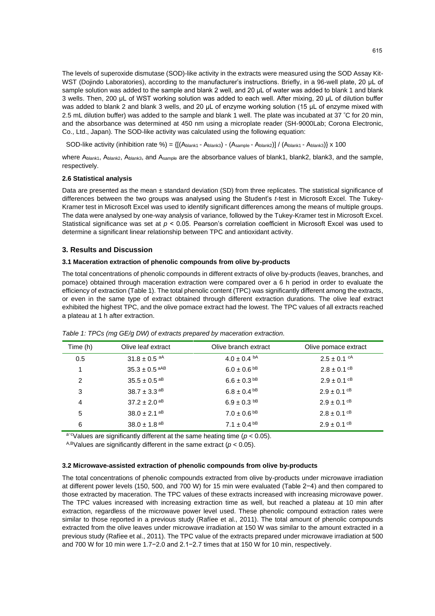The levels of superoxide dismutase (SOD)-like activity in the extracts were measured using the SOD Assay Kit-WST (Dojindo Laboratories), according to the manufacturer's instructions. Briefly, in a 96-well plate, 20 μL of sample solution was added to the sample and blank 2 well, and 20 µL of water was added to blank 1 and blank 3 wells. Then, 200 μL of WST working solution was added to each well. After mixing, 20 μL of dilution buffer was added to blank 2 and blank 3 wells, and 20 μL of enzyme working solution (15 μL of enzyme mixed with 2.5 mL dilution buffer) was added to the sample and blank 1 well. The plate was incubated at 37 °C for 20 min, and the absorbance was determined at 450 nm using a microplate reader (SH-9000Lab; Corona Electronic, Co., Ltd., Japan). The SOD-like activity was calculated using the following equation:

SOD-like activity (inhibition rate %) =  $\{[(\text{Ablankt - Ablank3}) - (\text{Asample - Ablank2})]/(\text{Ablankt - Ablank3})\} \times 100$ 

where A<sub>blank1</sub>, A<sub>blank2</sub>, A<sub>blank3</sub>, and A<sub>sample</sub> are the absorbance values of blank1, blank2, blank3, and the sample, respectively.

#### **2.6 Statistical analysis**

Data are presented as the mean ± standard deviation (SD) from three replicates. The statistical significance of differences between the two groups was analysed using the Student's *t*-test in Microsoft Excel. The Tukey-Kramer test in Microsoft Excel was used to identify significant differences among the means of multiple groups. The data were analysed by one-way analysis of variance, followed by the Tukey-Kramer test in Microsoft Excel. Statistical significance was set at  $p < 0.05$ . Pearson's correlation coefficient in Microsoft Excel was used to determine a significant linear relationship between TPC and antioxidant activity.

## **3. Results and Discussion**

#### **3.1 Maceration extraction of phenolic compounds from olive by-products**

The total concentrations of phenolic compounds in different extracts of olive by-products (leaves, branches, and pomace) obtained through maceration extraction were compared over a 6 h period in order to evaluate the efficiency of extraction (Table 1). The total phenolic content (TPC) was significantly different among the extracts, or even in the same type of extract obtained through different extraction durations. The olive leaf extract exhibited the highest TPC, and the olive pomace extract had the lowest. The TPC values of all extracts reached a plateau at 1 h after extraction.

| Time (h) | Olive leaf extract           | Olive branch extract         | Olive pomace extract        |
|----------|------------------------------|------------------------------|-----------------------------|
| 0.5      | $31.8 \pm 0.5$ aA            | $4.0 \pm 0.4$ b <sup>A</sup> | $2.5 \pm 0.1$ <sup>cA</sup> |
| 1        | $35.3 \pm 0.5$ aAB           | $6.0 \pm 0.6$ <sup>bB</sup>  | $2.8 \pm 0.1$ cB            |
| 2        | $35.5 \pm 0.5$ <sup>aB</sup> | $6.6 \pm 0.3^{bB}$           | $2.9 \pm 0.1$ cB            |
| 3        | $38.7 \pm 3.3$ <sup>aB</sup> | $6.8 \pm 0.4^{bB}$           | $2.9 \pm 0.1$ cB            |
| 4        | $37.2 \pm 2.0$ <sup>aB</sup> | $6.9 \pm 0.3$ bB             | $2.9 \pm 0.1$ cB            |
| 5        | $38.0 \pm 2.1$ <sup>aB</sup> | $7.0 \pm 0.6$ <sup>bB</sup>  | $2.8 \pm 0.1$ cB            |
| 6        | $38.0 \pm 1.8$ aB            | $7.1 \pm 0.4^{bB}$           | $2.9 \pm 0.1$ cB            |

*Table 1: TPCs (mg GE/g DW) of extracts prepared by maceration extraction.*

a<sup>-c</sup>Values are significantly different at the same heating time ( $p < 0.05$ ).

<sup>A,B</sup>Values are significantly different in the same extract ( $p < 0.05$ ).

#### **3.2 Microwave-assisted extraction of phenolic compounds from olive by-products**

The total concentrations of phenolic compounds extracted from olive by-products under microwave irradiation at different power levels (150, 500, and 700 W) for 15 min were evaluated (Table 2−4) and then compared to those extracted by maceration. The TPC values of these extracts increased with increasing microwave power. The TPC values increased with increasing extraction time as well, but reached a plateau at 10 min after extraction, regardless of the microwave power level used. These phenolic compound extraction rates were similar to those reported in a previous study (Rafíee et al., 2011). The total amount of phenolic compounds extracted from the olive leaves under microwave irradiation at 150 W was similar to the amount extracted in a previous study (Rafíee et al., 2011). The TPC value of the extracts prepared under microwave irradiation at 500 and 700 W for 10 min were 1.7−2.0 and 2.1−2.7 times that at 150 W for 10 min, respectively.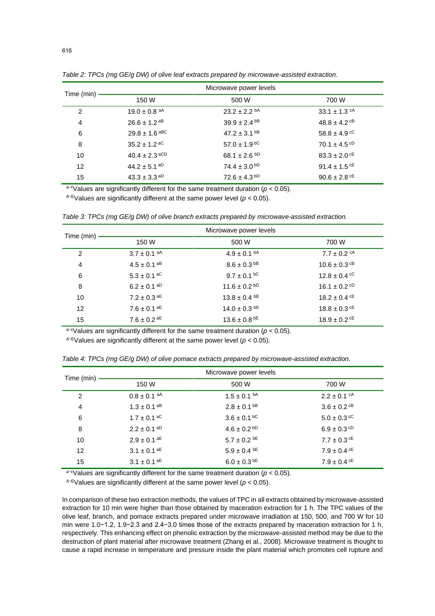|            | Microwave power levels       |                              |                              |
|------------|------------------------------|------------------------------|------------------------------|
| Time (min) | 150 W                        | 500 W                        | 700 W                        |
| 2          | 19.0 $\pm$ 0.8 <sup>aA</sup> | $23.2 \pm 2.2$ <sup>bA</sup> | 33.1 $\pm$ 1.3 <sup>cA</sup> |
| 4          | $26.6 \pm 1.2$ aB            | $39.9 \pm 2.4$ <sup>bB</sup> | $48.8 \pm 4.2$ cB            |
| 6          | $29.8 \pm 1.6$ aBC           | $47.2 \pm 3.1$ <sup>bB</sup> | $58.8 \pm 4.9$ cC            |
| 8          | $35.2 \pm 1.2$ aC            | $57.0 \pm 1.9$ bC            | 70.1 $\pm$ 4.5 <sup>cD</sup> |
| 10         | $40.4 \pm 2.3$ aCD           | 68.1 $\pm$ 2.6 <sup>bD</sup> | $83.3 \pm 2.0$ cE            |
| 12         | $44.2 \pm 5.1$ <sup>aD</sup> | $74.4 \pm 3.0^{ bD}$         | 91.4 $\pm$ 1.5 <sup>cE</sup> |
| 15         | $43.3 \pm 3.3$ aD            | $72.6 \pm 4.3$ bD            | $90.6 \pm 2.8$ cE            |

*Table 2: TPCs (mg GE/g DW) of olive leaf extracts prepared by microwave-assisted extraction.*

a<sup>-c</sup>Values are significantly different for the same treatment duration ( $p < 0.05$ ).

 $A$ <sup>-E</sup>Values are significantly different at the same power level ( $p < 0.05$ ).

|                   | Microwave power levels |                             |                             |
|-------------------|------------------------|-----------------------------|-----------------------------|
| Time (min)        | 150 W                  | 500 W                       | 700 W                       |
| 2                 | $3.7 \pm 0.1$ aA       | $4.9 \pm 0.1$ <sup>bA</sup> | $7.7 \pm 0.2$ <sup>cA</sup> |
| 4                 | $4.5 \pm 0.1$ aB       | $8.6 \pm 0.3$ <sup>bB</sup> | $10.6 \pm 0.3$ cB           |
| 6                 | $5.3 \pm 0.1$ aC       | $9.7 \pm 0.1$ bC            | $12.8 \pm 0.4$ cC           |
| 8                 | $6.2 \pm 0.1$ aD       | $11.6 \pm 0.2$ bD           | $16.1 \pm 0.2$ cD           |
| 10                | $7.2 \pm 0.3$ aE       | $13.8 \pm 0.4$ bE           | $18.2 \pm 0.4$ cE           |
| $12 \overline{ }$ | $7.6 \pm 0.1$ aE       | $14.0 \pm 0.3$ bE           | $18.8 \pm 0.3$ cE           |
| 15                | $7.6 \pm 0.2$ aE       | $13.6 \pm 0.8$ bE           | $18.9 \pm 0.2$ cE           |

*Table 3: TPCs (mg GE/g DW) of olive branch extracts prepared by microwave-assisted extraction.*

a<sup>-c</sup>Values are significantly different for the same treatment duration ( $p < 0.05$ ).

 $A-E$ Values are significantly different at the same power level ( $p < 0.05$ ).

|                   | Microwave power levels       |                             |                             |
|-------------------|------------------------------|-----------------------------|-----------------------------|
| Time (min)        | 150 W                        | 500 W                       | 700 W                       |
| 2                 | $0.8 \pm 0.1$ aA             | $1.5 \pm 0.1$ <sup>bA</sup> | $2.2 \pm 0.1$ <sup>cA</sup> |
| 4                 | $1.3 \pm 0.1$ <sup>aB</sup>  | $2.8 \pm 0.1$ bB            | $3.6 \pm 0.2$ cB            |
| 6                 | $1.7 \pm 0.1$ aC             | $3.6 \pm 0.1$ bc            | $5.0 \pm 0.3$ cc            |
| 8                 | $2.2 \pm 0.1$ <sup>aD</sup>  | $4.6 \pm 0.2$ bD            | $6.9 \pm 0.3$ cD            |
| 10                | $2.9 \pm 0.1$ aE             | $5.7 \pm 0.2$ bE            | $7.7 \pm 0.3$ cE            |
| $12 \overline{ }$ | $3.1 \pm 0.1$ aE             | $5.9 \pm 0.4$ bE            | $7.9 \pm 0.4$ cE            |
| 15                | $3.1 \pm 0.1$ a <sup>E</sup> | $6.0 \pm 0.3$ <sup>bE</sup> | $7.9 \pm 0.4$ cE            |

*Table 4: TPCs (mg GE/g DW) of olive pomace extracts prepared by microwave-assisted extraction.*

a<sup>-c</sup>Values are significantly different for the same treatment duration ( $p < 0.05$ ).

 $A$ -EValues are significantly different at the same power level ( $p < 0.05$ ).

In comparison of these two extraction methods, the values of TPC in all extracts obtained by microwave-assisted extraction for 10 min were higher than those obtained by maceration extraction for 1 h. The TPC values of the olive leaf, branch, and pomace extracts prepared under microwave irradiation at 150, 500, and 700 W for 10 min were 1.0−1.2, 1.9−2.3 and 2.4−3.0 times those of the extracts prepared by maceration extraction for 1 h, respectively. This enhancing effect on phenolic extraction by the microwave-assisted method may be due to the destruction of plant material after microwave treatment (Zhang et al., 2008). Microwave treatment is thought to cause a rapid increase in temperature and pressure inside the plant material which promotes cell rupture and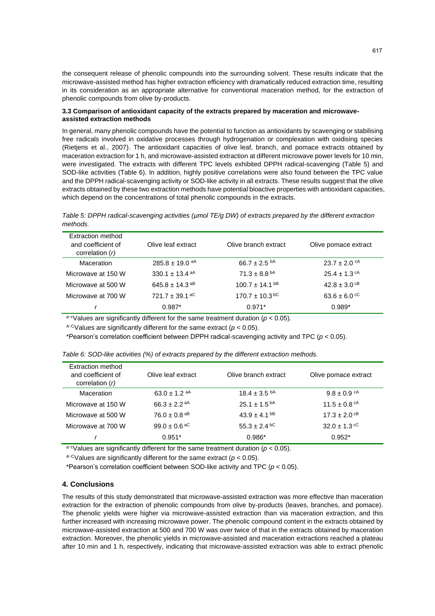the consequent release of phenolic compounds into the surrounding solvent. These results indicate that the microwave-assisted method has higher extraction efficiency with dramatically reduced extraction time, resulting in its consideration as an appropriate alternative for conventional maceration method, for the extraction of phenolic compounds from olive by-products.

#### **3.3 Comparison of antioxidant capacity of the extracts prepared by maceration and microwaveassisted extraction methods**

In general, many phenolic compounds have the potential to function as antioxidants by scavenging or stabilising free radicals involved in oxidative processes through hydrogenation or complexation with oxidising species (Rietjens et al., 2007). The antioxidant capacities of olive leaf, branch, and pomace extracts obtained by maceration extraction for 1 h, and microwave-assisted extraction at different microwave power levels for 10 min, were investigated. The extracts with different TPC levels exhibited DPPH radical-scavenging (Table 5) and SOD-like activities (Table 6). In addition, highly positive correlations were also found between the TPC value and the DPPH radical-scavenging activity or SOD-like activity in all extracts. These results suggest that the olive extracts obtained by these two extraction methods have potential bioactive properties with antioxidant capacities, which depend on the concentrations of total phenolic compounds in the extracts.

*Table 5: DPPH radical-scavenging activities (μmol TE/g DW) of extracts prepared by the different extraction methods.*

| Extraction method<br>and coefficient of<br>correlation $(r)$ | Olive leaf extract             | Olive branch extract         | Olive pomace extract         |
|--------------------------------------------------------------|--------------------------------|------------------------------|------------------------------|
| Maceration                                                   | $285.8 \pm 19.0$ aA            | 66.7 $\pm$ 2.5 <sup>bA</sup> | $23.7 \pm 2.0$ <sup>cA</sup> |
| Microwave at 150 W                                           | $330.1 + 13.4$ <sup>aA</sup>   | $71.3 \pm 8.8$ <sup>bA</sup> | $25.4 \pm 1.3$ <sup>cA</sup> |
| Microwave at 500 W                                           | 645.8 $\pm$ 14.3 <sup>aB</sup> | $100.7 + 14.1^{bB}$          | $42.8 \pm 3.0$ cB            |
| Microwave at 700 W                                           | $721.7 \pm 39.1$ aC            | $170.7 \pm 10.3$ bc          | $63.6 \pm 6.0$ cC            |
|                                                              | $0.987*$                       | $0.971*$                     | $0.989*$                     |

 $a-c$ Values are significantly different for the same treatment duration ( $p < 0.05$ ).

A<sup>-C</sup>Values are significantly different for the same extract ( $p < 0.05$ ).

\*Pearson's correlation coefficient between DPPH radical-scavenging activity and TPC (*p* < 0.05).

| Extraction method<br>and coefficient of<br>correlation $(r)$ | Olive leaf extract           | Olive branch extract         | Olive pomace extract         |
|--------------------------------------------------------------|------------------------------|------------------------------|------------------------------|
| Maceration                                                   | 63.0 $\pm$ 1.2 <sup>aA</sup> | $18.4 \pm 3.5$ <sup>bA</sup> | $9.8 \pm 0.9$ <sup>cA</sup>  |
| Microwave at 150 W                                           | 66.3 ± 2.2 <sup>aA</sup>     | $25.1 \pm 1.5^{bA}$          | 11.5 $\pm$ 0.8 <sup>cA</sup> |
| Microwave at 500 W                                           | $76.0 \pm 0.8$ <sup>aB</sup> | $43.9 \pm 4.1$ <sup>bB</sup> | $17.3 \pm 2.0$ <sup>cB</sup> |
| Microwave at 700 W                                           | 99.0 $\pm$ 0.6 <sup>aC</sup> | $55.3 \pm 2.4$ bC            | $32.0 \pm 1.3$ cC            |
|                                                              | $0.951*$                     | $0.986*$                     | $0.952*$                     |

a-cValues are significantly different for the same treatment duration ( $p < 0.05$ ).

A<sup>-C</sup>Values are significantly different for the same extract ( $p < 0.05$ ).

\*Pearson's correlation coefficient between SOD-like activity and TPC (*p* < 0.05).

#### **4. Conclusions**

The results of this study demonstrated that microwave-assisted extraction was more effective than maceration extraction for the extraction of phenolic compounds from olive by-products (leaves, branches, and pomace). The phenolic yields were higher via microwave-assisted extraction than via maceration extraction, and this further increased with increasing microwave power. The phenolic compound content in the extracts obtained by microwave-assisted extraction at 500 and 700 W was over twice of that in the extracts obtained by maceration extraction. Moreover, the phenolic yields in microwave-assisted and maceration extractions reached a plateau after 10 min and 1 h, respectively, indicating that microwave-assisted extraction was able to extract phenolic